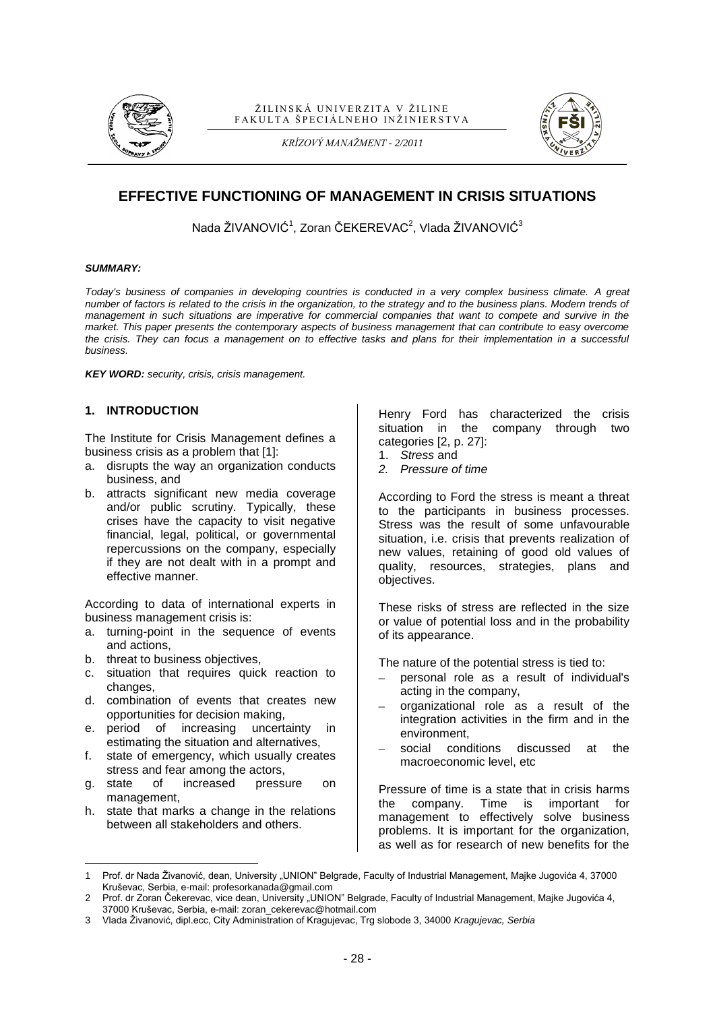

#### ŽILINSKÁ UNIVERZITA V ŽILINE FAKULTA ŠPECIÁLNEHO INŽINIERSTVA





# **EFFECTIVE FUNCTIONING OF MANAGEMENT IN CRISIS SITUATIONS**

Nada ŽIVANOVIĆ<sup>1</sup>, Zoran ČEKEREVAC<sup>2</sup>, Vlada ŽIVANOVIĆ $^3$ 

#### *SUMMARY:*

*Today's business of companies in developing countries is conducted in a very complex business climate. A great number of factors is related to the crisis in the organization, to the strategy and to the business plans. Modern trends of management in such situations are imperative for commercial companies that want to compete and survive in the market. This paper presents the contemporary aspects of business management that can contribute to easy overcome the crisis. They can focus a management on to effective tasks and plans for their implementation in a successful business.*

*KEY WORD: security, crisis, crisis management.*

#### **1. INTRODUCTION**

The Institute for Crisis Management defines a business crisis as a problem that [1]:

- a. disrupts the way an organization conducts business, and
- b. attracts significant new media coverage and/or public scrutiny. Typically, these crises have the capacity to visit negative financial, legal, political, or governmental repercussions on the company, especially if they are not dealt with in a prompt and effective manner.

According to data of international experts in business management crisis is:

- a. turning-point in the sequence of events and actions,
- b. threat to business objectives,

 $\overline{a}$ 

- c. situation that requires quick reaction to changes,
- d. combination of events that creates new opportunities for decision making,
- e. period of increasing uncertainty in estimating the situation and alternatives.
- f. state of emergency, which usually creates stress and fear among the actors,<br>g. state of increased press
- of increased pressure on management,
- h. state that marks a change in the relations between all stakeholders and others.

Henry Ford has characterized the crisis situation in the company through two categories [2, p. 27]:

- 1. *Stress* and
- *2. Pressure of time*

According to Ford the stress is meant a threat to the participants in business processes. Stress was the result of some unfavourable situation, i.e. crisis that prevents realization of new values, retaining of good old values of quality, resources, strategies, plans and objectives.

These risks of stress are reflected in the size or value of potential loss and in the probability of its appearance.

The nature of the potential stress is tied to:

- personal role as a result of individual's acting in the company,
- organizational role as a result of the integration activities in the firm and in the environment,
- social conditions discussed at the macroeconomic level, etc

Pressure of time is a state that in crisis harms the company. Time is important for management to effectively solve business problems. It is important for the organization, as well as for research of new benefits for the

<sup>1</sup> Prof. dr Nada Živanović, dean, University "UNION" Belgrade, Faculty of Industrial Management, Majke Jugovića 4, 37000 Kruševac, Serbia, e-mail: profesorkanada@gmail.com

<sup>2</sup> Prof. dr Zoran Ĉekerevac, vice dean, University "UNION" Belgrade, Faculty of Industrial Management, Majke Jugovića 4, 37000 Kruševac, Serbia, e-mail: zoran\_cekerevac@hotmail.com

<sup>3</sup> Vlada Živanović, dipl.ecc, City Administration of Kragujevac, Trg slobode 3, 34000 *Kragujevac, Serbia*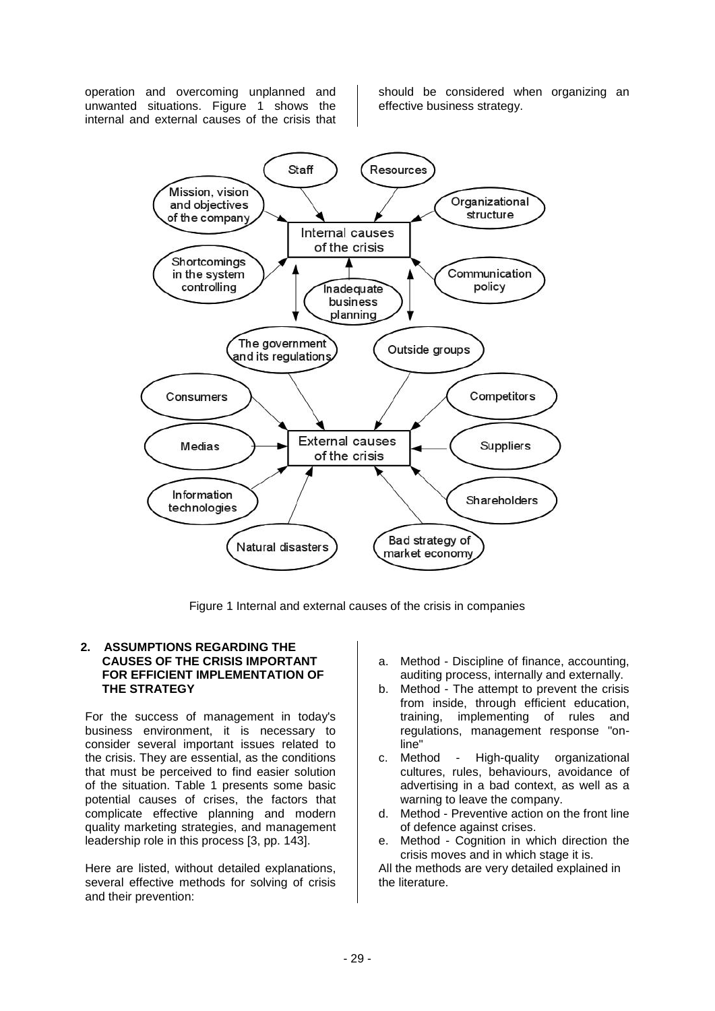operation and overcoming unplanned and unwanted situations. Figure 1 shows the internal and external causes of the crisis that

should be considered when organizing an effective business strategy.



Figure 1 Internal and external causes of the crisis in companies

### **2. ASSUMPTIONS REGARDING THE CAUSES OF THE CRISIS IMPORTANT FOR EFFICIENT IMPLEMENTATION OF THE STRATEGY**

For the success of management in today's business environment, it is necessary to consider several important issues related to the crisis. They are essential, as the conditions that must be perceived to find easier solution of the situation. Table 1 presents some basic potential causes of crises, the factors that complicate effective planning and modern quality marketing strategies, and management leadership role in this process [3, pp. 143].

Here are listed, without detailed explanations, several effective methods for solving of crisis and their prevention:

- a. Method Discipline of finance, accounting, auditing process, internally and externally.
- b. Method The attempt to prevent the crisis from inside, through efficient education, training, implementing of rules and regulations, management response "online"
- c. Method High-quality organizational cultures, rules, behaviours, avoidance of advertising in a bad context, as well as a warning to leave the company.
- d. Method Preventive action on the front line of defence against crises.
- e. Method Cognition in which direction the crisis moves and in which stage it is.

All the methods are very detailed explained in the literature.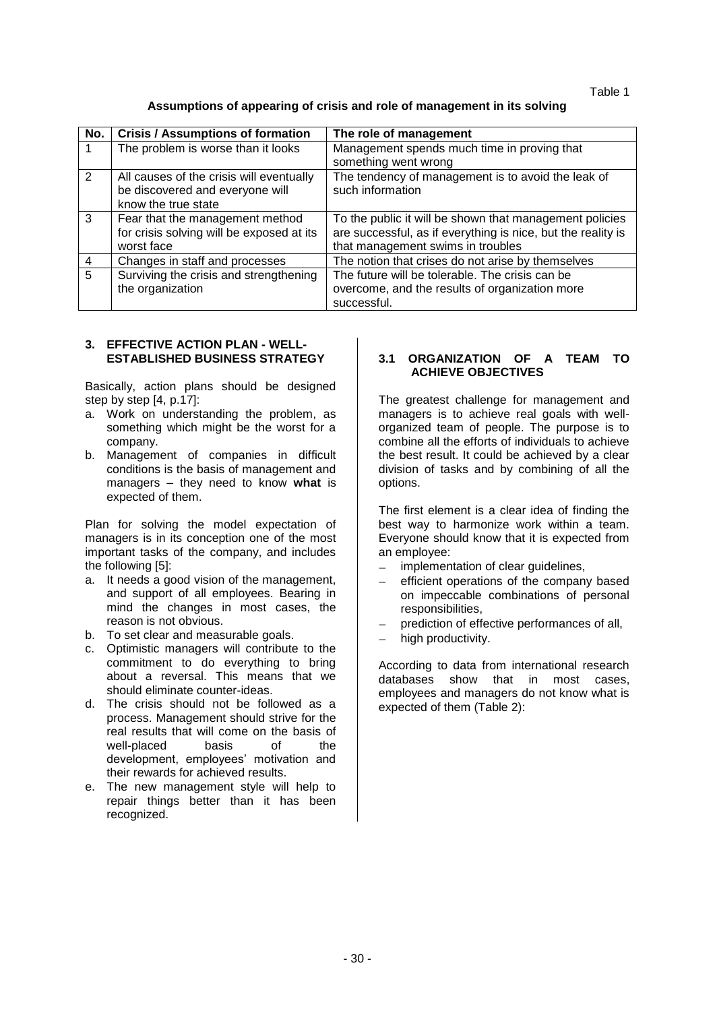Table 1

# **Assumptions of appearing of crisis and role of management in its solving**

| No. | <b>Crisis / Assumptions of formation</b>  | The role of management                                       |
|-----|-------------------------------------------|--------------------------------------------------------------|
|     | The problem is worse than it looks        | Management spends much time in proving that                  |
|     |                                           | something went wrong                                         |
| 2   | All causes of the crisis will eventually  | The tendency of management is to avoid the leak of           |
|     | be discovered and everyone will           | such information                                             |
|     | know the true state                       |                                                              |
| 3   | Fear that the management method           | To the public it will be shown that management policies      |
|     | for crisis solving will be exposed at its | are successful, as if everything is nice, but the reality is |
|     | worst face                                | that management swims in troubles                            |
| 4   | Changes in staff and processes            | The notion that crises do not arise by themselves            |
| 5   | Surviving the crisis and strengthening    | The future will be tolerable. The crisis can be              |
|     | the organization                          | overcome, and the results of organization more               |
|     |                                           | successful.                                                  |

## **3. EFFECTIVE ACTION PLAN - WELL-ESTABLISHED BUSINESS STRATEGY**

Basically, action plans should be designed step by step [4, p.17]:

- a. Work on understanding the problem, as something which might be the worst for a company.
- b. Management of companies in difficult conditions is the basis of management and managers – they need to know **what** is expected of them.

Plan for solving the model expectation of managers is in its conception one of the most important tasks of the company, and includes the following [5]:

- a. It needs a good vision of the management, and support of all employees. Bearing in mind the changes in most cases, the reason is not obvious.
- b. To set clear and measurable goals.
- c. Optimistic managers will contribute to the commitment to do everything to bring about a reversal. This means that we should eliminate counter-ideas.
- d. The crisis should not be followed as a process. Management should strive for the real results that will come on the basis of well-placed basis of the development, employees' motivation and their rewards for achieved results.
- e. The new management style will help to repair things better than it has been recognized.

## **3.1 ORGANIZATION OF A TEAM TO ACHIEVE OBJECTIVES**

The greatest challenge for management and managers is to achieve real goals with wellorganized team of people. The purpose is to combine all the efforts of individuals to achieve the best result. It could be achieved by a clear division of tasks and by combining of all the options.

The first element is a clear idea of finding the best way to harmonize work within a team. Everyone should know that it is expected from an employee:

- implementation of clear guidelines,
- efficient operations of the company based on impeccable combinations of personal responsibilities,
- prediction of effective performances of all,
- high productivity.

According to data from international research databases show that in most cases, employees and managers do not know what is expected of them (Table 2):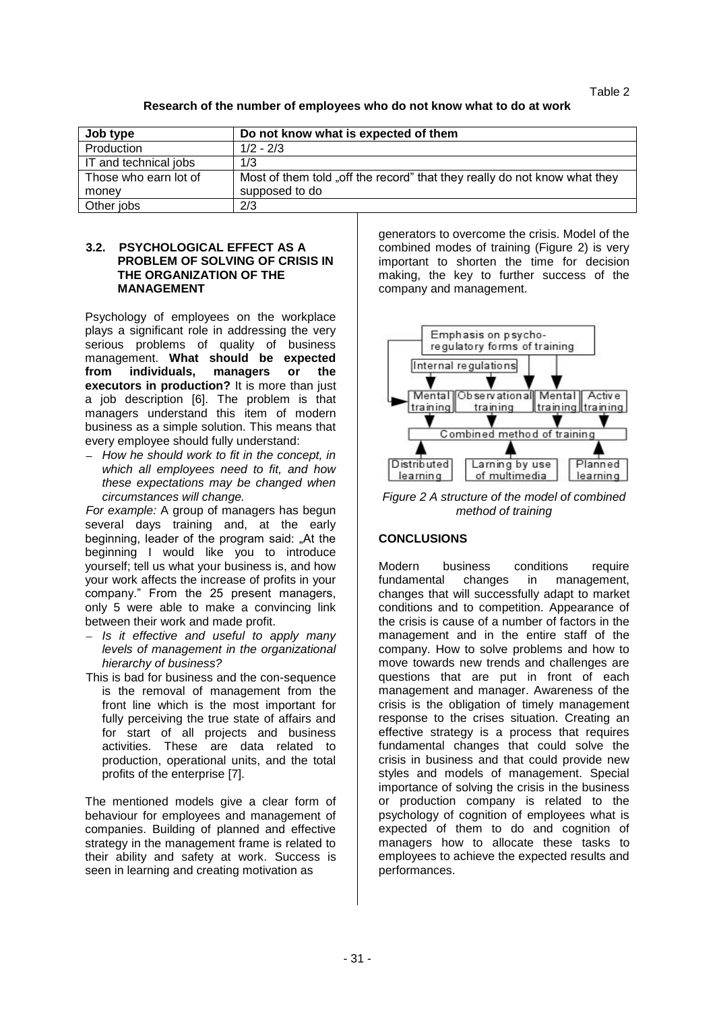Table 2

# **Research of the number of employees who do not know what to do at work**

| Job type              | Do not know what is expected of them                                      |
|-----------------------|---------------------------------------------------------------------------|
| Production            | $1/2 - 2/3$                                                               |
| IT and technical jobs | 1/3                                                                       |
| Those who earn lot of | Most of them told "off the record" that they really do not know what they |
| money                 | supposed to do                                                            |
| Other jobs            | 2/3                                                                       |

### **3.2. PSYCHOLOGICAL EFFECT AS A PROBLEM OF SOLVING OF CRISIS IN THE ORGANIZATION OF THE MANAGEMENT**

Psychology of employees on the workplace plays a significant role in addressing the very serious problems of quality of business management. **What should be expected from individuals, managers or the executors in production?** It is more than just a job description [6]. The problem is that managers understand this item of modern business as a simple solution. This means that every employee should fully understand:

*How he should work to fit in the concept, in which all employees need to fit, and how these expectations may be changed when circumstances will change.*

*For example:* A group of managers has begun several days training and, at the early beginning, leader of the program said: "At the beginning I would like you to introduce yourself; tell us what your business is, and how your work affects the increase of profits in your company." From the 25 present managers, only 5 were able to make a convincing link between their work and made profit.

- *Is it effective and useful to apply many levels of management in the organizational hierarchy of business?*
- This is bad for business and the con-sequence is the removal of management from the front line which is the most important for fully perceiving the true state of affairs and for start of all projects and business activities. These are data related to production, operational units, and the total profits of the enterprise [7].

The mentioned models give a clear form of behaviour for employees and management of companies. Building of planned and effective strategy in the management frame is related to their ability and safety at work. Success is seen in learning and creating motivation as

generators to overcome the crisis. Model of the combined modes of training (Figure 2) is very important to shorten the time for decision making, the key to further success of the company and management.



*Figure 2 A structure of the model of combined method of training*

# **CONCLUSIONS**

Modern business conditions require fundamental changes in management, changes that will successfully adapt to market conditions and to competition. Appearance of the crisis is cause of a number of factors in the management and in the entire staff of the company. How to solve problems and how to move towards new trends and challenges are questions that are put in front of each management and manager. Awareness of the crisis is the obligation of timely management response to the crises situation. Creating an effective strategy is a process that requires fundamental changes that could solve the crisis in business and that could provide new styles and models of management. Special importance of solving the crisis in the business or production company is related to the psychology of cognition of employees what is expected of them to do and cognition of managers how to allocate these tasks to employees to achieve the expected results and performances.